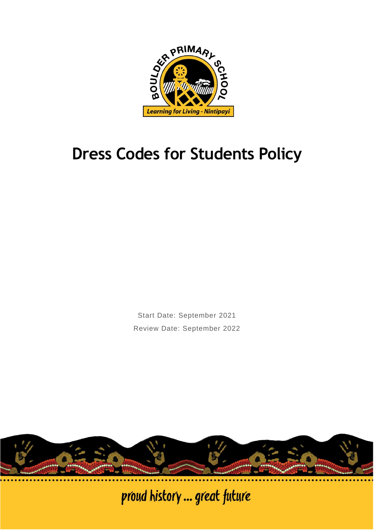

# **Dress Codes for Students Policy**

Start Date: September 2021 Review Date: September 2022



proud history ... great future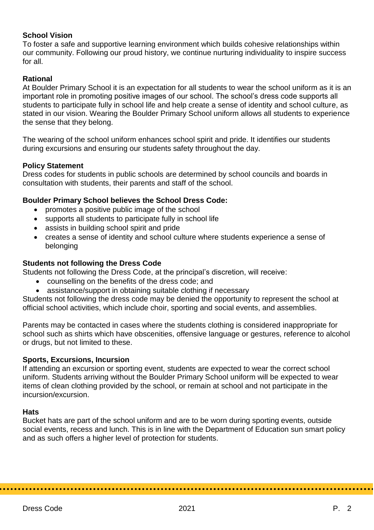# **School Vision**

To foster a safe and supportive learning environment which builds cohesive relationships within our community. Following our proud history, we continue nurturing individuality to inspire success for all.

## **Rational**

At Boulder Primary School it is an expectation for all students to wear the school uniform as it is an important role in promoting positive images of our school. The school's dress code supports all students to participate fully in school life and help create a sense of identity and school culture, as stated in our vision. Wearing the Boulder Primary School uniform allows all students to experience the sense that they belong.

The wearing of the school uniform enhances school spirit and pride. It identifies our students during excursions and ensuring our students safety throughout the day.

### **Policy Statement**

Dress codes for students in public schools are determined by school councils and boards in consultation with students, their parents and staff of the school.

## **Boulder Primary School believes the School Dress Code:**

- promotes a positive public image of the school
- supports all students to participate fully in school life
- assists in building school spirit and pride
- creates a sense of identity and school culture where students experience a sense of belonging

## **Students not following the Dress Code**

Students not following the Dress Code, at the principal's discretion, will receive:

- counselling on the benefits of the dress code; and
- assistance/support in obtaining suitable clothing if necessary

Students not following the dress code may be denied the opportunity to represent the school at official school activities, which include choir, sporting and social events, and assemblies.

Parents may be contacted in cases where the students clothing is considered inappropriate for school such as shirts which have obscenities, offensive language or gestures, reference to alcohol or drugs, but not limited to these.

### **Sports, Excursions, Incursion**

If attending an excursion or sporting event, students are expected to wear the correct school uniform. Students arriving without the Boulder Primary School uniform will be expected to wear items of clean clothing provided by the school, or remain at school and not participate in the incursion/excursion.

### **Hats**

Bucket hats are part of the school uniform and are to be worn during sporting events, outside social events, recess and lunch. This is in line with the Department of Education sun smart policy and as such offers a higher level of protection for students.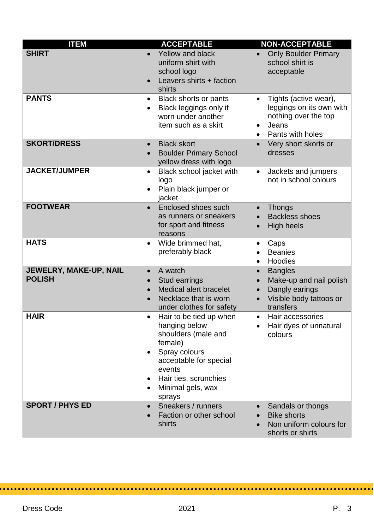| <b>ITEM</b>                             | <b>ACCEPTABLE</b>                                                                                                                                                                                                 | <b>NON-ACCEPTABLE</b>                                                                                                                      |
|-----------------------------------------|-------------------------------------------------------------------------------------------------------------------------------------------------------------------------------------------------------------------|--------------------------------------------------------------------------------------------------------------------------------------------|
| <b>SHIRT</b>                            | <b>Yellow and black</b><br>uniform shirt with<br>school logo<br>Leavers shirts + faction<br>shirts                                                                                                                | <b>Only Boulder Primary</b><br>school shirt is<br>acceptable                                                                               |
| <b>PANTS</b>                            | Black shorts or pants<br>٠<br>Black leggings only if<br>worn under another<br>item such as a skirt                                                                                                                | Tights (active wear),<br>leggings on its own with<br>nothing over the top<br>Jeans<br>$\bullet$<br>Pants with holes<br>$\bullet$           |
| <b>SKORT/DRESS</b>                      | <b>Black skort</b><br><b>Boulder Primary School</b><br>yellow dress with logo                                                                                                                                     | Very short skorts or<br>dresses                                                                                                            |
| <b>JACKET/JUMPER</b>                    | Black school jacket with<br>$\bullet$<br>logo<br>Plain black jumper or<br>jacket                                                                                                                                  | Jackets and jumpers<br>$\bullet$<br>not in school colours                                                                                  |
| <b>FOOTWEAR</b>                         | Enclosed shoes such<br>as runners or sneakers<br>for sport and fitness<br>reasons                                                                                                                                 | <b>Thongs</b><br><b>Backless shoes</b><br><b>High heels</b>                                                                                |
| <b>HATS</b>                             | Wide brimmed hat,<br>$\bullet$<br>preferably black                                                                                                                                                                | Caps<br>$\bullet$<br><b>Beanies</b><br>Hoodies<br>$\bullet$                                                                                |
| JEWELRY, MAKE-UP, NAIL<br><b>POLISH</b> | A watch<br>Stud earrings<br><b>Medical alert bracelet</b><br>Necklace that is worn<br>under clothes for safety                                                                                                    | <b>Bangles</b><br>$\bullet$<br>Make-up and nail polish<br>$\bullet$<br>Dangly earings<br>$\bullet$<br>Visible body tattoos or<br>transfers |
| <b>HAIR</b>                             | Hair to be tied up when<br>$\bullet$<br>hanging below<br>shoulders (male and<br>female)<br>Spray colours<br>$\bullet$<br>acceptable for special<br>events<br>Hair ties, scrunchies<br>Minimal gels, wax<br>sprays | Hair accessories<br>$\bullet$<br>Hair dyes of unnatural<br>colours                                                                         |
| <b>SPORT / PHYS ED</b>                  | Sneakers / runners<br>Faction or other school<br>shirts                                                                                                                                                           | Sandals or thongs<br><b>Bike shorts</b><br>Non uniform colours for<br>shorts or shirts                                                     |

 $\bullet$ 

. . . . . . . . . .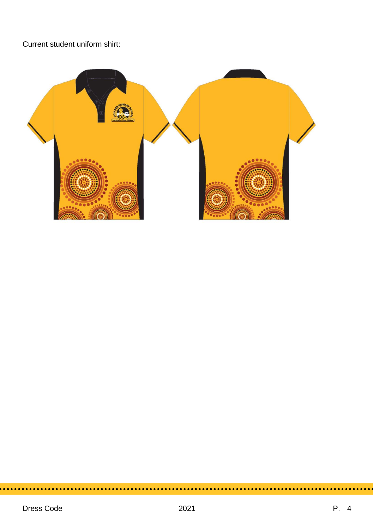Current student uniform shirt:



۰.

 $\sim$ 

................

 $\sim$   $\sim$   $\sim$ 

 $\sim$ 

 $\sim$   $\sim$ 

...........